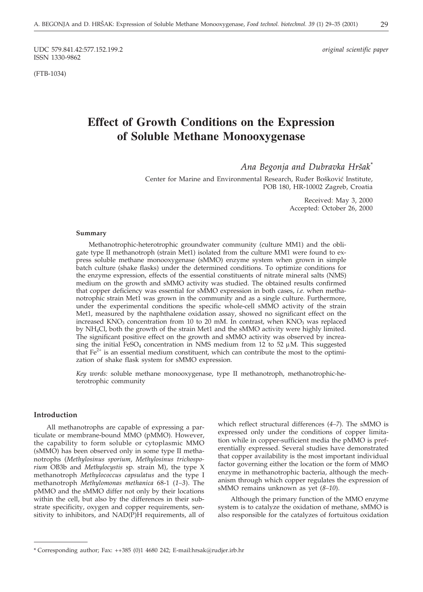UDC 579.841.42:577.152.199.2 *original scientific paper* ISSN 1330-9862

(FTB-1034)

# **Effect of Growth Conditions on the Expression of Soluble Methane Monooxygenase**

Ana Begonja and Dubravka Hršak<sup>\*</sup>

Center for Marine and Environmental Research, Ruđer Bošković Institute, POB 180, HR-10002 Zagreb, Croatia

> Received: May 3, 2000 Accepted: October 26, 2000

#### **Summary**

Methanotrophic-heterotrophic groundwater community (culture MM1) and the obligate type II methanotroph (strain Met1) isolated from the culture MM1 were found to express soluble methane monooxygenase (sMMO) enzyme system when grown in simple batch culture (shake flasks) under the determined conditions. To optimize conditions for the enzyme expression, effects of the essential constituents of nitrate mineral salts (NMS) medium on the growth and sMMO activity was studied. The obtained results confirmed that copper deficiency was essential for sMMO expression in both cases, *i.e.* when methanotrophic strain Met1 was grown in the community and as a single culture. Furthermore, under the experimental conditions the specific whole-cell sMMO activity of the strain Met1, measured by the naphthalene oxidation assay, showed no significant effect on the increased KNO<sub>3</sub> concentration from 10 to 20 mM. In contrast, when KNO<sub>3</sub> was replaced by NH4Cl, both the growth of the strain Met1 and the sMMO activity were highly limited. The significant positive effect on the growth and sMMO activity was observed by increasing the initial FeSO<sub>4</sub> concentration in NMS medium from 12 to 52  $\mu$ M. This suggested that  $Fe<sup>2+</sup>$  is an essential medium constituent, which can contribute the most to the optimization of shake flask system for sMMO expression.

*Key words:* soluble methane monooxygenase, type II methanotroph, methanotrophic-heterotrophic community

## **Introduction**

All methanotrophs are capable of expressing a particulate or membrane-bound MMO (pMMO). However, the capability to form soluble or cytoplasmic MMO (sMMO) has been observed only in some type II methanotrophs (*Methylosinus sporium*, *Methylosinus trichosporium* OB3b and *Methylocystis* sp. strain M), the type X methanotroph *Methylococcus capsulatus* and the type I methanotroph *Methylomonas methanica* 68-1 (*1–3*). The pMMO and the sMMO differ not only by their locations within the cell, but also by the differences in their substrate specificity, oxygen and copper requirements, sensitivity to inhibitors, and NAD(P)H requirements, all of

which reflect structural differences (*4–7*). The sMMO is expressed only under the conditions of copper limitation while in copper-sufficient media the pMMO is preferentially expressed. Several studies have demonstrated that copper availability is the most important individual factor governing either the location or the form of MMO enzyme in methanotrophic bacteria, although the mechanism through which copper regulates the expression of sMMO remains unknown as yet (*8–10*).

Although the primary function of the MMO enzyme system is to catalyze the oxidation of methane, sMMO is also responsible for the catalyzes of fortuitous oxidation

<sup>\*</sup> Corresponding author; Fax: ++385 (0)1 4680 242; E-mail:hrsak*@*rudjer.irb.hr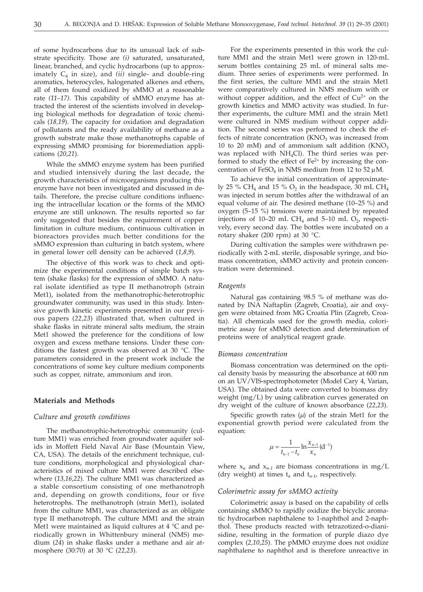of some hydrocarbons due to its unusual lack of substrate specificity. Those are *(i)* saturated, unsaturated, linear, branched, and cyclic hydrocarbons (up to approximately  $C_8$  in size), and *(ii)* single- and double-ring aromatics, heterocycles, halogenated alkenes and ethers, all of them found oxidized by sMMO at a reasonable rate *(11–17)*. This capability of sMMO enzyme has attracted the interest of the scientists involved in developing biological methods for degradation of toxic chemicals (*18,19*). The capacity for oxidation and degradation of pollutants and the ready availability of methane as a growth substrate make those methanotrophs capable of expressing sMMO promising for bioremediation applications (*20,21*).

While the sMMO enzyme system has been purified and studied intensively during the last decade, the growth characteristics of microorganisms producing this enzyme have not been investigated and discussed in details. Therefore, the precise culture conditions influencing the intracellular location or the forms of the MMO enzyme are still unknown. The results reported so far only suggested that besides the requirement of copper limitation in culture medium, continuous cultivation in bioreactors provides much better conditions for the sMMO expression than culturing in batch system, where in general lower cell density can be achieved (*1,8,9*).

The objective of this work was to check and optimize the experimental conditions of simple batch system (shake flasks) for the expression of sMMO. A natural isolate identified as type II methanotroph (strain Met1), isolated from the methanotrophic-heterotrophic groundwater community, was used in this study. Intensive growth kinetic experiments presented in our previous papers (*22,23*) illustrated that, when cultured in shake flasks in nitrate mineral salts medium, the strain Met1 showed the preference for the conditions of low oxygen and excess methane tensions. Under these conditions the fastest growth was observed at 30 °C. The parameters considered in the present work include the concentrations of some key culture medium components such as copper, nitrate, ammonium and iron.

#### **Materials and Methods**

#### *Culture and growth conditions*

The methanotrophic-heterotrophic community (culture MM1) was enriched from groundwater aquifer solids in Moffett Field Naval Air Base (Mountain View, CA, USA). The details of the enrichment technique, culture conditions, morphological and physiological characteristics of mixed culture MM1 were described elsewhere (*13,16,22*). The culture MM1 was characterized as a stable consortium consisting of one methanotroph and, depending on growth conditions, four or five heterotrophs. The methanotroph (strain Met1), isolated from the culture MM1, was characterized as an obligate type II methanotroph. The culture MM1 and the strain Met1 were maintained as liquid cultures at 4 °C and periodically grown in Whittenbury mineral (NMS) medium (*24*) in shake flasks under a methane and air atmosphere (30:70) at 30 °C (*22,23*).

For the experiments presented in this work the culture MM1 and the strain Met1 were grown in 120-mL serum bottles containing 25 mL of mineral salts medium. Three series of experiments were performed. In the first series, the culture MM1 and the strain Met1 were comparatively cultured in NMS medium with or without copper addition, and the effect of  $Cu^{2+}$  on the growth kinetics and MMO activity was studied. In further experiments, the culture MM1 and the strain Met1 were cultured in NMS medium without copper addition. The second series was performed to check the effects of nitrate concentration  $(KNO<sub>3</sub>$  was increased from 10 to 20 mM) and of ammonium salt addition  $(KNO<sub>3</sub>)$ was replaced with  $NH<sub>4</sub>Cl$ ). The third series was performed to study the effect of  $Fe<sup>2+</sup>$  by increasing the concentration of FeSO<sub>4</sub> in NMS medium from 12 to 52  $\mu$ M.

To achieve the initial concentration of approximately 25 % CH<sub>4</sub> and 15 %  $O_2$  in the headspace, 30 mL CH<sub>4</sub> was injected in serum bottles after the withdrawal of an equal volume of air. The desired methane (10–25 %) and oxygen (5–15 %) tensions were maintained by repeated injections of 10–20 mL CH<sub>4</sub> and 5–10 mL  $O_2$ , respectively, every second day. The bottles were incubated on a rotary shaker (200 rpm) at 30 °C.

During cultivation the samples were withdrawn periodically with 2-mL sterile, disposable syringe, and biomass concentration, sMMO activity and protein concentration were determined.

#### *Reagents*

Natural gas containing 98.5 % of methane was donated by INA Naftaplin (Zagreb, Croatia), air and oxygen were obtained from MG Croatia Plin (Zagreb, Croatia). All chemicals used for the growth media, colorimetric assay for sMMO detection and determination of proteins were of analytical reagent grade.

#### *Biomass concentration*

Biomass concentration was determined on the optical density basis by measuring the absorbance at 600 nm on an UV/VIS-spectrophotometer (Model Cary 4, Varian, USA). The obtained data were converted to biomass dry weight (mg/L) by using calibration curves generated on dry weight of the culture of known absorbance (*22,23*).

Specific growth rates  $(\mu)$  of the strain Met1 for the exponential growth period were calculated from the equation:

$$
\mu = \frac{1}{t_{n-1} - t_n} \ln \frac{x_{n-1}}{x_n} (d^{-1})
$$

where  $x_n$  and  $x_{n-1}$  are biomass concentrations in mg/L (dry weight) at times  $t_n$  and  $t_{n-1}$ , respectively.

## *Colorimetric assay for sMMO activity*

Colorimetric assay is based on the capability of cells containing sMMO to rapidly oxidize the bicyclic aromatic hydrocarbon naphthalene to 1-naphthol and 2-naphthol. These products reacted with tetrazotized-o-dianisidine, resulting in the formation of purple diazo dye complex (*2,10,25*). The pMMO enzyme does not oxidize naphthalene to naphthol and is therefore unreactive in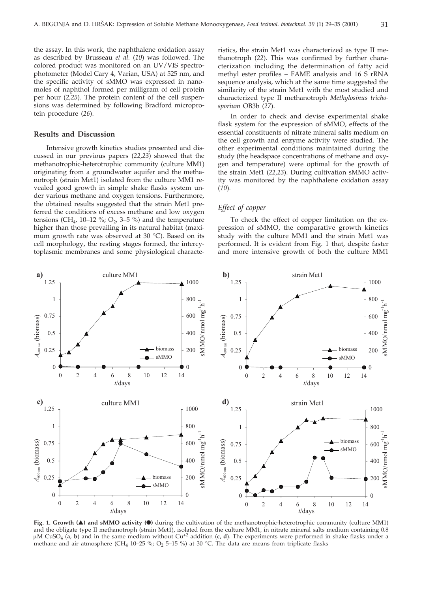the assay. In this work, the naphthalene oxidation assay as described by Brusseau *et al.* (*10*) was followed. The colored product was monitored on an UV/VIS spectrophotometer (Model Cary 4, Varian, USA) at 525 nm, and the specific activity of sMMO was expressed in nanomoles of naphthol formed per milligram of cell protein per hour (*2,25*). The protein content of the cell suspensions was determined by following Bradford microprotein procedure (*26*).

## **Results and Discussion**

Intensive growth kinetics studies presented and discussed in our previous papers (*22,23*) showed that the methanotrophic-heterotrophic community (culture MM1) originating from a groundwater aquifer and the methanotroph (strain Met1) isolated from the culture MM1 revealed good growth in simple shake flasks system under various methane and oxygen tensions. Furthermore, the obtained results suggested that the strain Met1 preferred the conditions of excess methane and low oxygen tensions (CH<sub>4</sub>, 10–12 %; O<sub>2</sub>, 3–5 %) and the temperature higher than those prevailing in its natural habitat (maximum growth rate was observed at 30 °C). Based on its cell morphology, the resting stages formed, the intercytoplasmic membranes and some physiological characteristics, the strain Met1 was characterized as type II methanotroph (*22*). This was confirmed by further characterization including the determination of fatty acid methyl ester profiles – FAME analysis and 16 S rRNA sequence analysis, which at the same time suggested the similarity of the strain Met1 with the most studied and characterized type II methanotroph *Methylosinus trichosporium* OB3b (*27*).

In order to check and devise experimental shake flask system for the expression of sMMO, effects of the essential constituents of nitrate mineral salts medium on the cell growth and enzyme activity were studied. The other experimental conditions maintained during the study (the headspace concentrations of methane and oxygen and temperature) were optimal for the growth of the strain Met1 (*22,23*). During cultivation sMMO activity was monitored by the naphthalene oxidation assay (*10*).

## *Effect of copper*

To check the effect of copper limitation on the expression of sMMO, the comparative growth kinetics study with the culture MM1 and the strain Met1 was performed. It is evident from Fig. 1 that, despite faster and more intensive growth of both the culture MM1



**Fig. 1. Growth () and sMMO activity (-)** during the cultivation of the methanotrophic-heterotrophic community (culture MM1) and the obligate type II methanotroph (strain Met1), isolated from the culture MM1, in nitrate mineral salts medium containing 0.8 M CuSO4 (**a**, **b**) and in the same medium without Cu+2 addition (**c**, **d**). The experiments were performed in shake flasks under a methane and air atmosphere (CH<sub>4</sub> 10–25 %; O<sub>2</sub> 5–15 %) at 30 °C. The data are means from triplicate flasks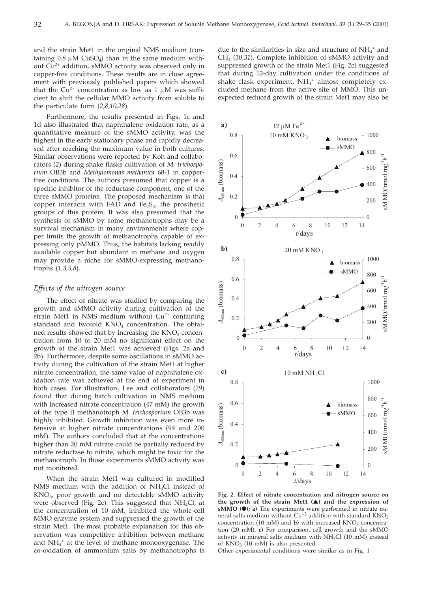and the strain Met1 in the original NMS medium (containing  $0.8 \mu M$  CuSO<sub>4</sub>) than in the same medium without Cu2+ addition, sMMO activity was observed only in copper-free conditions. These results are in close agreement with previously published papers which showed that the  $Cu^{2+}$  concentration as low as 1  $\mu$ M was sufficient to shift the cellular MMO activity from soluble to the particulate form (*2,8,10,28*).

Furthermore, the results presented in Figs. 1c and 1d also illustrated that naphthalene oxidation rate, as a quantitative measure of the sMMO activity, was the highest in the early stationary phase and rapidly decreased after reaching the maximum value in both cultures. Similar observations were reported by Koh and collaborators (*2*) during shake flasks cultivation of *M. trichosporium* OB3b and *Methylomonas methanica* 68-1 in copperfree conditions. The authors presumed that copper is a specific inhibitor of the reductase component, one of the three sMMO proteins. The proposed mechanism is that copper interacts with FAD and Fe<sub>2</sub>S<sub>2</sub>, the prosthetic groups of this protein. It was also presumed that the synthesis of sMMO by some methanotrophs may be a survival mechanism in many environments where copper limits the growth of methanotrophs capable of expressing only pMMO. Thus, the habitats lacking readily available copper but abundant in methane and oxygen may provide a niche for sMMO-expressing methanotrophs (*1,3,5,8*).

#### *Effects of the nitrogen source*

The effect of nitrate was studied by comparing the growth and sMMO activity during cultivation of the strain Met1 in NMS medium without  $Cu<sup>2+</sup>$  containing standard and twofold KNO<sub>3</sub> concentration. The obtained results showed that by increasing the  $KNO<sub>3</sub>$  concentration from 10 to 20 mM no significant effect on the growth of the strain Met1 was achieved (Figs. 2a and 2b). Furthermore, despite some oscillations in sMMO activity during the cultivation of the strain Met1 at higher nitrate concentration, the same value of naphthalene oxidation rate was achieved at the end of experiment in both cases. For illustration, Lee and collaborators (*29*) found that during batch cultivation in NMS medium with increased nitrate concentration (47 mM) the growth of the type II methanotroph *M. trichosporium* OB3b was highly inhibited. Growth inhibition was even more intensive at higher nitrate concentrations (94 and 200 mM). The authors concluded that at the concentrations higher than 20 mM nitrate could be partially reduced by nitrate reductase to nitrite, which might be toxic for the methanotroph. In those experiments sMMO activity was not monitored.

When the strain Met1 was cultured in modified NMS medium with the addition of  $NH<sub>4</sub>Cl$  instead of  $KNO<sub>3</sub>$ , poor growth and no detectable sMMO activity were observed (Fig. 2c). This suggested that  $NH<sub>4</sub>Cl$ , at the concentration of 10 mM, inhibited the whole-cell MMO enzyme system and suppressed the growth of the strain Met1. The most probable explanation for this observation was competitive inhibition between methane and NH4 <sup>+</sup> at the level of methane monooxygenase. The co-oxidation of ammonium salts by methanotrophs is

due to the similarities in size and structure of  $NH_4^+$  and CH4 (*30,31*). Complete inhibition of sMMO activity and suppressed growth of the strain Met1 (Fig. 2c) suggested that during 12-day cultivation under the conditions of shake flask experiment, NH<sub>4</sub><sup>+</sup> almost completely excluded methane from the active site of MMO. This unexpected reduced growth of the strain Met1 may also be



**Fig. 2. Effect of nitrate concentration and nitrogen source on the growth of the strain Met1 () and the expression of sMMO (-); a)** The experiments were performed in nitrate mineral salts medium without  $Cu^{+2}$  addition with standard  $\text{KNO}_3$ concentration (10 mM) and  $\bf{b}$ ) with increased KNO<sub>3</sub> concentration (20 mM). **c)** For comparison, cell growth and the sMMO activity in mineral salts medium with NH4Cl (10 mM) instead of  $KNO<sub>3</sub>$  (10 mM) is also presented

Other experimental conditions were similar as in Fig. 1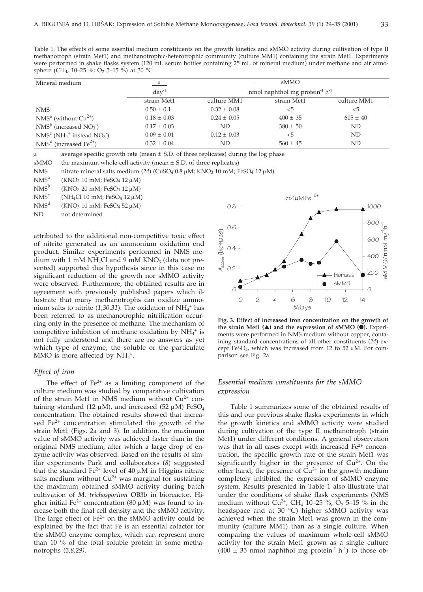Table 1. The effects of some essential medium constituents on the growth kinetics and sMMO activity during cultivation of type II methanotroph (strain Met1) and methanotrophic-heterotrophic community (culture MM1) containing the strain Met1. Experiments were performed in shake flasks system (120 mL serum bottles containing 25 mL of mineral medium) under methane and air atmosphere (CH<sub>4</sub>, 10-25 %; O<sub>2</sub> 5-15 %) at 30 °C

| Mineral medium                                 | $\mu$           | sMMO                                                   |              |              |
|------------------------------------------------|-----------------|--------------------------------------------------------|--------------|--------------|
|                                                | $day^{-1}$      | nmol naphthol mg protein <sup>-1</sup> h <sup>-1</sup> |              |              |
|                                                | strain Met1     | culture MM1                                            | strain Met1  | culture MM1  |
| <b>NMS</b>                                     | $0.50 \pm 0.1$  | $0.32 \pm 0.08$                                        | $<$ 5        | $<$ 5        |
| $NMSa$ (without $Cu2+$ )                       | $0.18 \pm 0.03$ | $0.24 \pm 0.05$                                        | $400 \pm 35$ | $605 \pm 40$ |
| $NMSb$ (increased $NO3$ )                      | $0.17 \pm 0.03$ | ND                                                     | $380 \pm 50$ | ND           |
| $NMSc (NH4+ instead NO3)$                      | $0.09 + 0.01$   | $0.12 + 0.03$                                          | $<$ 5        | ND           |
| NMS <sup>d</sup> (increased Fe <sup>2+</sup> ) | $0.32 \pm 0.04$ | ND                                                     | $560 \pm 45$ | ND           |

 $\mu$  average specific growth rate (mean  $\pm$  S.D. of three replicates) during the log phase

sMMO the maximum whole-cell activity (mean  $\pm$  S.D. of three replicates)

NMS nitrate mineral salts medium  $(24)$  (CuSO<sub>4</sub> 0.8  $\mu$ M; KNO<sub>3</sub> 10 mM; FeSO<sub>4</sub> 12  $\mu$ M)

NMS<sup>a</sup> (KNO<sub>3</sub> 10 mM; FeSO<sub>4</sub> 12  $\mu$ M)

 $NMS<sup>b</sup>$  (KNO<sub>3</sub> 20 mM; FeSO<sub>4</sub> 12  $\mu$ M)

NMS<sup>c</sup> (NH<sub>4</sub>Cl 10 mM; FeSO<sub>4</sub> 12  $\mu$ M)

NMS<sup>d</sup> (KNO<sub>3</sub> 10 mM; FeSO<sub>4</sub> 52  $\mu$ M)

ND not determined

attributed to the additional non-competitive toxic effect of nitrite generated as an ammonium oxidation end product. Similar experiments performed in NMS medium with 1 mM NH<sub>4</sub>Cl and 9 mM KNO<sub>3</sub> (data not presented) supported this hypothesis since in this case no significant reduction of the growth nor sMMO activity were observed. Furthermore, the obtained results are in agreement with previously published papers which illustrate that many methanotrophs can oxidize ammonium salts to nitrite  $(1,30,31)$ . The oxidation of  $NH<sub>4</sub>$ <sup>+</sup> has been referred to as methanotrophic nitrification occurring only in the presence of methane. The mechanism of competitive inhibition of methane oxidation by  $NH_4^+$  is not fully understood and there are no answers as yet which type of enzyme, the soluble or the particulate MMO is more affected by  $NH_4^+$ .

## *Effect of iron*

The effect of  $Fe<sup>2+</sup>$  as a limiting component of the culture medium was studied by comparative cultivation of the strain Met1 in NMS medium without  $Cu^{2+}$  containing standard (12  $\mu$ M), and increased (52  $\mu$ M) FeSO<sub>4</sub> concentration. The obtained results showed that increased Fe<sup>2+</sup> concentration stimulated the growth of the strain Met1 (Figs. 2a and 3). In addition, the maximum value of sMMO activity was achieved faster than in the original NMS medium, after which a large drop of enzyme activity was observed. Based on the results of similar experiments Park and collaborators (*8*) suggested that the standard Fe<sup>2+</sup> level of 40  $\mu$ M in Higgins nitrate salts medium without  $Cu^{2+}$  was marginal for sustaining the maximum obtained sMMO activity during batch cultivation of *M. trichosporium* OB3b in bioreactor. Higher initial Fe<sup>2+</sup> concentration (80  $\mu$ M) was found to increase both the final cell density and the sMMO activity. The large effect of  $Fe^{2+}$  on the sMMO activity could be explained by the fact that Fe is an essential cofactor for the sMMO enzyme complex, which can represent more than 10 % of the total soluble protein in some methanotrophs (*3,8,29)*.



**Fig. 3. Effect of increased iron concentration on the growth of the strain Met1 () and the expression of sMMO (-).** Experiments were performed in NMS medium without copper, containing standard concentrations of all other constituents (*24*) except FeSO<sub>4</sub>, which was increased from 12 to 52  $\mu$ M. For comparison see Fig. 2a

## *Essential medium constituents for the sMMO expression*

Table 1 summarizes some of the obtained results of this and our previous shake flasks experiments in which the growth kinetics and sMMO activity were studied during cultivation of the type II methanotroph (strain Met1) under different conditions. A general observation was that in all cases except with increased  $Fe<sup>2+</sup>$  concentration, the specific growth rate of the strain Met1 was significantly higher in the presence of  $Cu<sup>2+</sup>$ . On the other hand, the presence of  $Cu^{2+}$  in the growth medium completely inhibited the expression of sMMO enzyme system. Results presented in Table 1 also illustrate that under the conditions of shake flask experiments (NMS medium without Cu<sup>2+</sup>; CH<sub>4</sub> 10–25 %, O<sub>2</sub> 5–15 % in the headspace and at 30 °C) higher sMMO activity was achieved when the strain Met1 was grown in the community (culture MM1) than as a single culture. When comparing the values of maximum whole-cell sMMO activity for the strain Met1 grown as a single culture  $(400 \pm 35 \text{ nmol}$  naphthol mg protein<sup>-1</sup> h<sup>-1</sup>) to those ob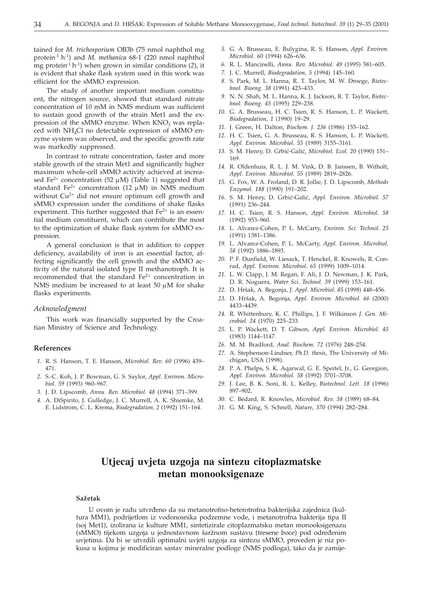tained for *M. trichosporium* OB3b (75 nmol naphthol mg protein-1 h-1) and *M. methanica* 68-1 (220 nmol naphthol mg protein-1 h-1) when grown in similar conditions (*2*), it is evident that shake flask system used in this work was efficient for the sMMO expression.

The study of another important medium constituent, the nitrogen source, showed that standard nitrate concentration of 10 mM in NMS medium was sufficient to sustain good growth of the strain Met1 and the expression of the sMMO enzyme. When  $KNO<sub>3</sub>$  was replaced with NH4Cl no detectable expression of sMMO enzyme system was observed, and the specific growth rate was markedly suppressed.

In contrast to nitrate concentration, faster and more stable growth of the strain Met1 and significantly higher maximum whole-cell sMMO activity achieved at increased Fe<sup>2+</sup> concentration (52  $\mu$ M) (Table 1) suggested that standard Fe<sup>2+</sup> concentration (12  $\mu$ M) in NMS medium without  $Cu^{2+}$  did not ensure optimum cell growth and sMMO expression under the conditions of shake flasks experiment. This further suggested that  $Fe<sup>2+</sup>$  is an essential medium constituent, which can contribute the most to the optimization of shake flask system for sMMO expression.

A general conclusion is that in addition to copper deficiency, availability of iron is an essential factor, affecting significantly the cell growth and the sMMO activity of the natural isolated type II methanotroph. It is recommended that the standard Fe<sup>2+</sup> concentration in NMS medium be increased to at least 50  $\mu$ M for shake flasks experiments.

#### *Acknowledgment*

This work was financially supported by the Croatian Ministry of Science and Technology.

#### **References**

- *1.* R. S. Hanson, T. E. Hanson, *Microbiol. Rev. 60* (1996) 439– 471.
- *2.* S.-C. Koh, J. P. Bowman, G. S. Saylor, *Appl. Environ. Microbiol. 59* (1993) 960–967.
- *3.* J. D. Lipscomb, *Annu. Rev. Microbiol. 48* (1994) 371–399.
- *4.* A. DiSpirito, J. Gulledge, J. C. Murrell, A. K. Shiemke, M. E. Lidstrom, C. L. Krema, *Biodegradation, 2* (1992) 151–164.
- *5.* G. A. Brusseau, E. Bulygina, R. S. Hanson, *Appl. Environ. Microbiol. 60* (1994) 626–636.
- *6.* R. L. Mancinelli, *Annu. Rev. Microbiol. 49* (1995) 581–605.
- *7.* J. C. Murrell, *Biodegradation, 5* (1994) 145–160.
- *8.* S. Park, M. L. Hanna, R. T. Taylor, M. W. Droege, *Biotechnol. Bioeng. 38* (1991) 423–433.
- *9.* N. N. Shah, M. L. Hanna, K. J. Jackson, R. T. Taylor, *Biotechnol. Bioeng. 45* (1995) 229–238.
- *10.* G. A. Brusseau, H. C. Tsien, R. S. Hanson, L. P. Wackett, *Biodegradation, 1* (1990) 19–29.
- *11.* J. Green, H. Dalton, *Biochem. J. 236* (1986) 155–162.
- *12.* H. C. Tsien, G. A. Brusseau, R. S. Hanson, L. P. Wackett, *Appl. Environ. Microbiol. 55* (1989) 3155–3161.
- 13. S. M. Henry, D. Grbić-Galić, *Microbiol. Ecol. 20* (1990) 151-169.
- *14.* R. Oldenhuis, R. L. J. M. Vink, D. B. Janssen, B. Witholt, *Appl. Environ. Microbiol. 55* (1989) 2819–2826.
- *15.* G. Fox, W. A. Froland, D. R. Jollie, J. D. Lipscomb, *Methods Enzymol. 188* (1990) 191–202.
- 16. S. M. Henry, D. Grbić-Galić, *Appl. Environ. Microbiol. 57* (1991) 236–244.
- *17.* H. C. Tsien, R. S. Hanson, *Appl. Environ. Microbiol*. *58* (1992) 953–960.
- *18.* L. Alvarez-Cohen, P. L. McCarty, *Environ. Sci. Technol. 25* (1991) 1381–1386.
- *19.* L. Alvarez-Cohen, P. L. McCarty, *Appl. Environ. Microbiol. 58* (1992) 1886–1893.
- *20.* P. F. Dunfield, W. Liesack, T. Henckel, R. Knowels, R. Conrad, *Appl. Environ. Microbiol*. *65* (1999) 1009–1014.
- *21.* L. W. Clapp, J. M. Regan, F. Ali, J. D. Newman, J. K. Park, D. R. Noguera, *Water Sci. Technol. 39* (1999) 153–161.
- *22.* D. Hr{ak, A. Begonja, *J. Appl. Microbiol. 85* (1998) 448–456.
- *23.* D. Hr{ak, A. Begonja, *Appl. Environ. Microbiol. 66* (2000) 4433–4439.
- *24.* R. Whittenbury, K. C. Phillips, J. F. Wilkinson *J. Gen. Microbiol. 24* (1970) 225–233.
- *25.* L. P. Wackett, D. T. Gibson, *Appl. Environ. Microbiol. 45* (1983) 1144–1147.
- *26.* M. M. Bradford, *Anal. Biochem. 72* (1976) 248–254.
- *27.* A. Stephenson-Lindner, *Ph.D. thesis*, The University of Michigan, USA (1998).
- *28.* P. A. Phelps, S. K. Aqarwal, G. E. Speitel, Jr., G. Georgion, *Appl. Environ. Microbiol. 58* (1992) 3701–3708.
- *29.* J. Lee, B. K. Soni, R. L. Kelley, *Biotechnol. Lett. 18* (1996) 897–902.
- *30.* C. Bédard, R. Knowles, *Microbiol. Rev. 58* (1989) 68–84.
- *31.* G. M. King, S. Schnell, *Nature*, *370* (1994) 282–284.

## **Utjecaj uvjeta uzgoja na sintezu citoplazmatske metan monooksigenaze**

#### **Sa`etak**

U ovom je radu utvrđeno da su metanotrofno-heterotrofna bakterijska zajednica (kultura MM1), podrijetlom iz vodonosnika podzemne vode, i metanotrofna bakterija tipa II (soj Met1), izolirana iz kulture MM1, sintetizirale citoplazmatsku metan monooksigenazu (sMMO) tijekom uzgoja u jednostavnom šaržnom sustavu (tresene boce) pod određenim uvjetima. Da bi se utvrdili optimalni uvjeti uzgoja za sintezu sMMO, proveden je niz pokusa u kojima je modificiran sastav mineralne podloge (NMS podloga), tako da je zamije